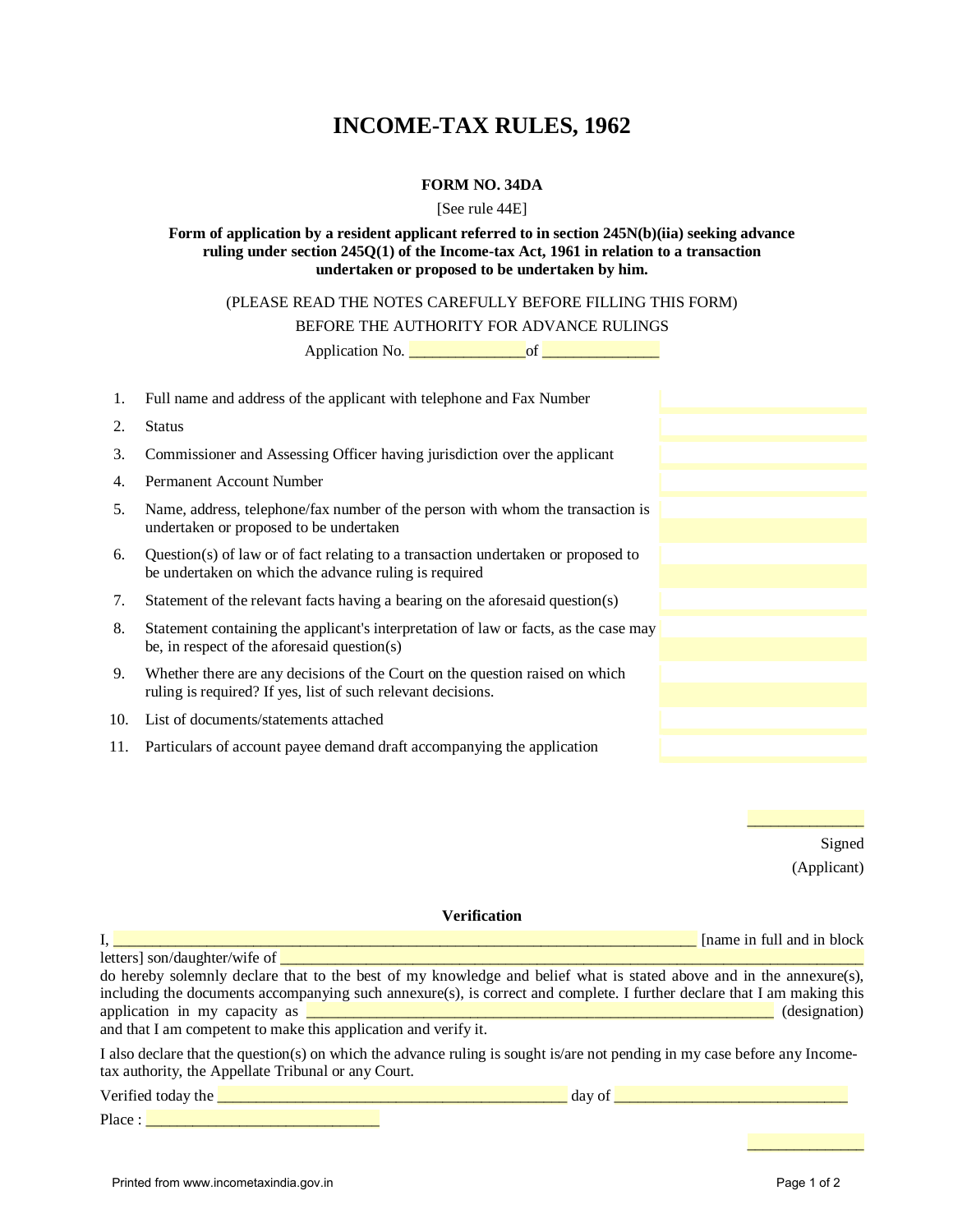# **INCOME-TAX RULES, 1962**

## **FORM NO. 34DA**

## [See rule 44E]

## **Form of application by a resident applicant referred to in section 245N(b)(iia) seeking advance ruling under section 245Q(1) of the Income-tax Act, 1961 in relation to a transaction undertaken or proposed to be undertaken by him.**

# (PLEASE READ THE NOTES CAREFULLY BEFORE FILLING THIS FORM)

BEFORE THE AUTHORITY FOR ADVANCE RULINGS

Application No. \_\_\_\_\_\_\_\_\_\_\_\_\_\_\_of \_\_\_\_\_\_\_\_\_\_\_\_\_\_\_

| 1. | Full name and address of the applicant with telephone and Fax Number                                                                         |  |
|----|----------------------------------------------------------------------------------------------------------------------------------------------|--|
| 2. | <b>Status</b>                                                                                                                                |  |
| 3. | Commissioner and Assessing Officer having jurisdiction over the applicant                                                                    |  |
| 4. | Permanent Account Number                                                                                                                     |  |
| 5. | Name, address, telephone/fax number of the person with whom the transaction is<br>undertaken or proposed to be undertaken                    |  |
| 6. | Question(s) of law or of fact relating to a transaction undertaken or proposed to<br>be undertaken on which the advance ruling is required   |  |
| 7. | Statement of the relevant facts having a bearing on the aforesaid question(s)                                                                |  |
| 8. | Statement containing the applicant's interpretation of law or facts, as the case may<br>be, in respect of the aforesaid question(s)          |  |
| 9. | Whether there are any decisions of the Court on the question raised on which<br>ruling is required? If yes, list of such relevant decisions. |  |
|    | 10. List of documents/statements attached                                                                                                    |  |
|    | 11. Particulars of account payee demand draft accompanying the application                                                                   |  |

\_\_\_\_\_\_\_\_\_\_\_\_\_\_\_ Signed (Applicant)

## **Verification**

 $\mathbf{I}_1$ ,  $\mathbf{I}_2$  and  $\mathbf{I}_3$  and  $\mathbf{I}_4$  and  $\mathbf{I}_5$  and  $\mathbf{I}_6$  and  $\mathbf{I}_7$  and  $\mathbf{I}_8$  and  $\mathbf{I}_9$  and  $\mathbf{I}_9$  and  $\mathbf{I}_8$  and  $\mathbf{I}_9$  and  $\mathbf{I}_9$  and  $\mathbf{I}_9$  and  $\mathbf{I}_9$  and  $\mathbf{I}_9$  and

letters] son/daughter/wife of \_\_\_\_\_\_\_\_\_\_\_\_\_\_\_\_\_\_\_\_\_\_\_\_\_\_\_\_\_\_\_\_\_\_\_\_\_\_\_\_\_\_\_\_\_\_\_\_\_\_\_\_\_\_\_\_\_\_\_\_\_\_\_\_\_\_\_\_\_\_\_\_\_\_\_ do hereby solemnly declare that to the best of my knowledge and belief what is stated above and in the annexure(s), including the documents accompanying such annexure(s), is correct and complete. I further declare that I am making this application in my capacity as  $\Box$  (designation)  $\Box$  (designation)

and that I am competent to make this application and verify it.

I also declare that the question(s) on which the advance ruling is sought is/are not pending in my case before any Incometax authority, the Appellate Tribunal or any Court. Verified today the  $\frac{1}{\sqrt{2}}$  and  $\frac{1}{\sqrt{2}}$  are  $\frac{1}{\sqrt{2}}$  day of  $\frac{1}{\sqrt{2}}$  and  $\frac{1}{\sqrt{2}}$  and  $\frac{1}{\sqrt{2}}$  and  $\frac{1}{\sqrt{2}}$  and  $\frac{1}{\sqrt{2}}$  and  $\frac{1}{\sqrt{2}}$  and  $\frac{1}{\sqrt{2}}$  and  $\frac{1}{\sqrt{2}}$  and  $\frac{1}{\sqrt{2}}$ 

Place : \_\_\_\_\_\_\_\_\_\_\_\_\_\_\_\_\_\_\_\_\_\_\_\_\_\_\_\_\_\_

\_\_\_\_\_\_\_\_\_\_\_\_\_\_\_